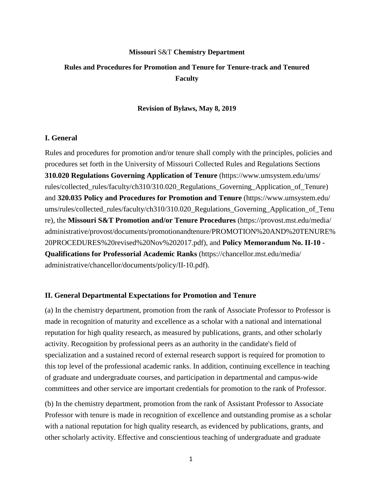# **Missouri** S&T **Chemistry Department Rules and Procedures for Promotion and Tenure for Tenure-track and Tenured Faculty**

#### **Revision of Bylaws, May 8, 2019**

### **I. General**

Rules and procedures for promotion and/or tenure shall comply with the principles, policies and procedures set forth in the University of Missouri Collected Rules and Regulations Sections **310.020 Regulations Governing Application of Tenure** (https://www.umsystem.edu/ums/ rules/collected\_rules/faculty/ch310/310.020\_Regulations\_Governing\_Application\_of\_Tenure) and **320.035 Policy and Procedures for Promotion and Tenure** (https://www.umsystem.edu/ ums/rules/collected\_rules/faculty/ch310/310.020\_Regulations\_Governing\_Application\_of\_Tenu re), the **Missouri S&T Promotion and/or Tenure Procedures** (https://provost.mst.edu/media/ administrative/provost/documents/promotionandtenure/PROMOTION%20AND%20TENURE% 20PROCEDURES%20revised%20Nov%202017.pdf), and **Policy Memorandum No. II-10 - Qualifications for Professorial Academic Ranks** (https://chancellor.mst.edu/media/ administrative/chancellor/documents/policy/II-10.pdf).

#### **II. General Departmental Expectations for Promotion and Tenure**

(a) In the chemistry department, promotion from the rank of Associate Professor to Professor is made in recognition of maturity and excellence as a scholar with a national and international reputation for high quality research, as measured by publications, grants, and other scholarly activity. Recognition by professional peers as an authority in the candidate's field of specialization and a sustained record of external research support is required for promotion to this top level of the professional academic ranks. In addition, continuing excellence in teaching of graduate and undergraduate courses, and participation in departmental and campus-wide committees and other service are important credentials for promotion to the rank of Professor.

(b) In the chemistry department, promotion from the rank of Assistant Professor to Associate Professor with tenure is made in recognition of excellence and outstanding promise as a scholar with a national reputation for high quality research, as evidenced by publications, grants, and other scholarly activity. Effective and conscientious teaching of undergraduate and graduate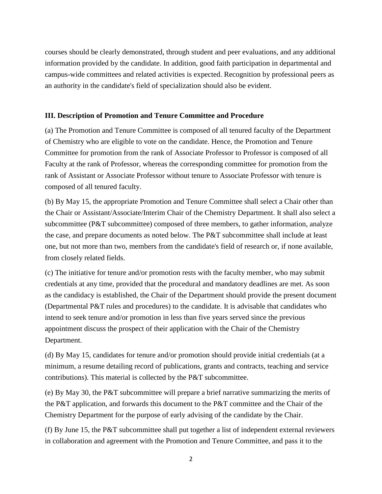courses should be clearly demonstrated, through student and peer evaluations, and any additional information provided by the candidate. In addition, good faith participation in departmental and campus-wide committees and related activities is expected. Recognition by professional peers as an authority in the candidate's field of specialization should also be evident.

## **III. Description of Promotion and Tenure Committee and Procedure**

(a) The Promotion and Tenure Committee is composed of all tenured faculty of the Department of Chemistry who are eligible to vote on the candidate. Hence, the Promotion and Tenure Committee for promotion from the rank of Associate Professor to Professor is composed of all Faculty at the rank of Professor, whereas the corresponding committee for promotion from the rank of Assistant or Associate Professor without tenure to Associate Professor with tenure is composed of all tenured faculty.

(b) By May 15, the appropriate Promotion and Tenure Committee shall select a Chair other than the Chair or Assistant/Associate/Interim Chair of the Chemistry Department. It shall also select a subcommittee (P&T subcommittee) composed of three members, to gather information, analyze the case, and prepare documents as noted below. The P&T subcommittee shall include at least one, but not more than two, members from the candidate's field of research or, if none available, from closely related fields.

(c) The initiative for tenure and/or promotion rests with the faculty member, who may submit credentials at any time, provided that the procedural and mandatory deadlines are met. As soon as the candidacy is established, the Chair of the Department should provide the present document (Departmental P&T rules and procedures) to the candidate. It is advisable that candidates who intend to seek tenure and/or promotion in less than five years served since the previous appointment discuss the prospect of their application with the Chair of the Chemistry Department.

(d) By May 15, candidates for tenure and/or promotion should provide initial credentials (at a minimum, a resume detailing record of publications, grants and contracts, teaching and service contributions). This material is collected by the P&T subcommittee.

(e) By May 30, the P&T subcommittee will prepare a brief narrative summarizing the merits of the P&T application, and forwards this document to the P&T committee and the Chair of the Chemistry Department for the purpose of early advising of the candidate by the Chair.

(f) By June 15, the P&T subcommittee shall put together a list of independent external reviewers in collaboration and agreement with the Promotion and Tenure Committee, and pass it to the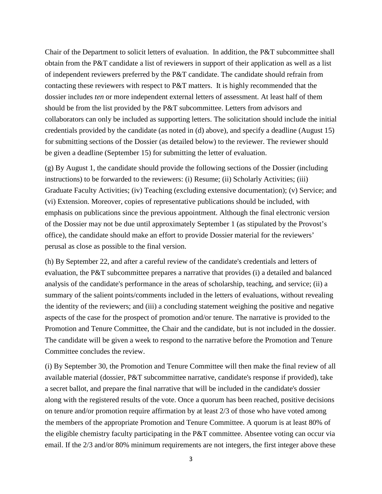Chair of the Department to solicit letters of evaluation. In addition, the P&T subcommittee shall obtain from the P&T candidate a list of reviewers in support of their application as well as a list of independent reviewers preferred by the P&T candidate. The candidate should refrain from contacting these reviewers with respect to P&T matters. It is highly recommended that the dossier includes *ten* or more independent external letters of assessment. At least half of them should be from the list provided by the P&T subcommittee. Letters from advisors and collaborators can only be included as supporting letters. The solicitation should include the initial credentials provided by the candidate (as noted in (d) above), and specify a deadline (August 15) for submitting sections of the Dossier (as detailed below) to the reviewer. The reviewer should be given a deadline (September 15) for submitting the letter of evaluation.

(g) By August 1, the candidate should provide the following sections of the Dossier (including instructions) to be forwarded to the reviewers: (i) Resume; (ii) Scholarly Activities; (iii) Graduate Faculty Activities; (iv) Teaching (excluding extensive documentation); (v) Service; and (vi) Extension. Moreover, copies of representative publications should be included, with emphasis on publications since the previous appointment. Although the final electronic version of the Dossier may not be due until approximately September 1 (as stipulated by the Provost's office), the candidate should make an effort to provide Dossier material for the reviewers' perusal as close as possible to the final version.

(h) By September 22, and after a careful review of the candidate's credentials and letters of evaluation, the P&T subcommittee prepares a narrative that provides (i) a detailed and balanced analysis of the candidate's performance in the areas of scholarship, teaching, and service; (ii) a summary of the salient points/comments included in the letters of evaluations, without revealing the identity of the reviewers; and (iii) a concluding statement weighing the positive and negative aspects of the case for the prospect of promotion and/or tenure. The narrative is provided to the Promotion and Tenure Committee, the Chair and the candidate, but is not included in the dossier. The candidate will be given a week to respond to the narrative before the Promotion and Tenure Committee concludes the review.

(i) By September 30, the Promotion and Tenure Committee will then make the final review of all available material (dossier, P&T subcommittee narrative, candidate's response if provided), take a secret ballot, and prepare the final narrative that will be included in the candidate's dossier along with the registered results of the vote. Once a quorum has been reached, positive decisions on tenure and/or promotion require affirmation by at least 2/3 of those who have voted among the members of the appropriate Promotion and Tenure Committee. A quorum is at least 80% of the eligible chemistry faculty participating in the P&T committee. Absentee voting can occur via email. If the 2/3 and/or 80% minimum requirements are not integers, the first integer above these